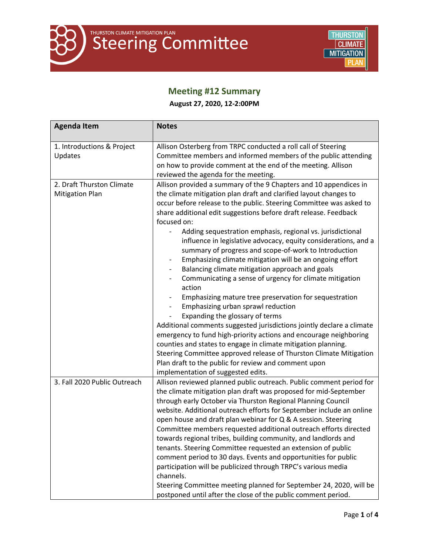

# **Meeting #12 Summary**

**August 27, 2020, 12-2:00PM**

| <b>Agenda Item</b>                                  | <b>Notes</b>                                                                                                                                                                                                                                                                                                                                                                                                                                                                                                                                                                                                                                                                                                                                                                                                                                                                                                                                                                                                                                                                                                                                                                                                                                                                             |
|-----------------------------------------------------|------------------------------------------------------------------------------------------------------------------------------------------------------------------------------------------------------------------------------------------------------------------------------------------------------------------------------------------------------------------------------------------------------------------------------------------------------------------------------------------------------------------------------------------------------------------------------------------------------------------------------------------------------------------------------------------------------------------------------------------------------------------------------------------------------------------------------------------------------------------------------------------------------------------------------------------------------------------------------------------------------------------------------------------------------------------------------------------------------------------------------------------------------------------------------------------------------------------------------------------------------------------------------------------|
| 1. Introductions & Project<br>Updates               | Allison Osterberg from TRPC conducted a roll call of Steering<br>Committee members and informed members of the public attending<br>on how to provide comment at the end of the meeting. Allison<br>reviewed the agenda for the meeting.                                                                                                                                                                                                                                                                                                                                                                                                                                                                                                                                                                                                                                                                                                                                                                                                                                                                                                                                                                                                                                                  |
| 2. Draft Thurston Climate<br><b>Mitigation Plan</b> | Allison provided a summary of the 9 Chapters and 10 appendices in<br>the climate mitigation plan draft and clarified layout changes to<br>occur before release to the public. Steering Committee was asked to<br>share additional edit suggestions before draft release. Feedback<br>focused on:<br>Adding sequestration emphasis, regional vs. jurisdictional<br>influence in legislative advocacy, equity considerations, and a<br>summary of progress and scope-of-work to Introduction<br>Emphasizing climate mitigation will be an ongoing effort<br>$\overline{\phantom{a}}$<br>Balancing climate mitigation approach and goals<br>$\overline{\phantom{a}}$<br>Communicating a sense of urgency for climate mitigation<br>action<br>Emphasizing mature tree preservation for sequestration<br>Emphasizing urban sprawl reduction<br>$\overline{\phantom{a}}$<br>Expanding the glossary of terms<br>Additional comments suggested jurisdictions jointly declare a climate<br>emergency to fund high-priority actions and encourage neighboring<br>counties and states to engage in climate mitigation planning.<br>Steering Committee approved release of Thurston Climate Mitigation<br>Plan draft to the public for review and comment upon<br>implementation of suggested edits. |
| 3. Fall 2020 Public Outreach                        | Allison reviewed planned public outreach. Public comment period for<br>the climate mitigation plan draft was proposed for mid-September<br>through early October via Thurston Regional Planning Council<br>website. Additional outreach efforts for September include an online<br>open house and draft plan webinar for Q & A session. Steering<br>Committee members requested additional outreach efforts directed<br>towards regional tribes, building community, and landlords and<br>tenants. Steering Committee requested an extension of public<br>comment period to 30 days. Events and opportunities for public<br>participation will be publicized through TRPC's various media<br>channels.<br>Steering Committee meeting planned for September 24, 2020, will be<br>postponed until after the close of the public comment period.                                                                                                                                                                                                                                                                                                                                                                                                                                            |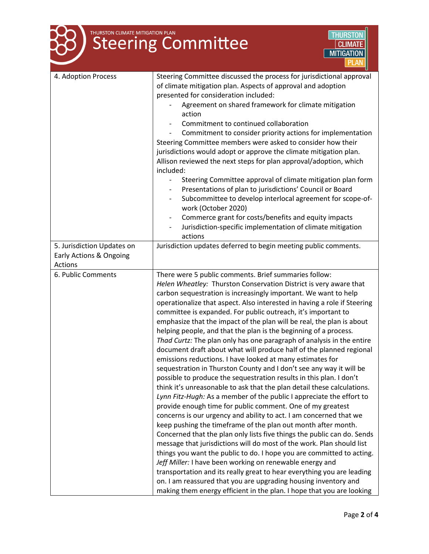| THURSTON CLIMATE MITIGATION PLAN<br><b>THURSTON</b><br><b>Steering Committee</b><br><b>CLIMATE</b><br><b>MITIGATION</b> |                                                                                                                                                                                                                                                                                                                                                                                                                                                                                                                                                                                                                                                                                                                                                                                                                                                                                                                                                                                                                                                                                                                                                                                                                                                                                                                                                                                                                                                                                                                                                                                                                                                                                                                           |
|-------------------------------------------------------------------------------------------------------------------------|---------------------------------------------------------------------------------------------------------------------------------------------------------------------------------------------------------------------------------------------------------------------------------------------------------------------------------------------------------------------------------------------------------------------------------------------------------------------------------------------------------------------------------------------------------------------------------------------------------------------------------------------------------------------------------------------------------------------------------------------------------------------------------------------------------------------------------------------------------------------------------------------------------------------------------------------------------------------------------------------------------------------------------------------------------------------------------------------------------------------------------------------------------------------------------------------------------------------------------------------------------------------------------------------------------------------------------------------------------------------------------------------------------------------------------------------------------------------------------------------------------------------------------------------------------------------------------------------------------------------------------------------------------------------------------------------------------------------------|
| 4. Adoption Process                                                                                                     | Steering Committee discussed the process for jurisdictional approval<br>of climate mitigation plan. Aspects of approval and adoption<br>presented for consideration included:<br>Agreement on shared framework for climate mitigation<br>action<br>Commitment to continued collaboration<br>Commitment to consider priority actions for implementation<br>Steering Committee members were asked to consider how their<br>jurisdictions would adopt or approve the climate mitigation plan.<br>Allison reviewed the next steps for plan approval/adoption, which<br>included:<br>Steering Committee approval of climate mitigation plan form<br>$\overline{\phantom{0}}$<br>Presentations of plan to jurisdictions' Council or Board<br>Subcommittee to develop interlocal agreement for scope-of-<br>work (October 2020)<br>Commerce grant for costs/benefits and equity impacts<br>$\overline{\phantom{a}}$<br>Jurisdiction-specific implementation of climate mitigation<br>actions                                                                                                                                                                                                                                                                                                                                                                                                                                                                                                                                                                                                                                                                                                                                     |
| 5. Jurisdiction Updates on<br>Early Actions & Ongoing<br>Actions                                                        | Jurisdiction updates deferred to begin meeting public comments.                                                                                                                                                                                                                                                                                                                                                                                                                                                                                                                                                                                                                                                                                                                                                                                                                                                                                                                                                                                                                                                                                                                                                                                                                                                                                                                                                                                                                                                                                                                                                                                                                                                           |
| 6. Public Comments                                                                                                      | There were 5 public comments. Brief summaries follow:<br>Helen Wheatley: Thurston Conservation District is very aware that<br>carbon sequestration is increasingly important. We want to help<br>operationalize that aspect. Also interested in having a role if Steering<br>committee is expanded. For public outreach, it's important to<br>emphasize that the impact of the plan will be real, the plan is about<br>helping people, and that the plan is the beginning of a process.<br>Thad Curtz: The plan only has one paragraph of analysis in the entire<br>document draft about what will produce half of the planned regional<br>emissions reductions. I have looked at many estimates for<br>sequestration in Thurston County and I don't see any way it will be<br>possible to produce the sequestration results in this plan. I don't<br>think it's unreasonable to ask that the plan detail these calculations.<br>Lynn Fitz-Hugh: As a member of the public I appreciate the effort to<br>provide enough time for public comment. One of my greatest<br>concerns is our urgency and ability to act. I am concerned that we<br>keep pushing the timeframe of the plan out month after month.<br>Concerned that the plan only lists five things the public can do. Sends<br>message that jurisdictions will do most of the work. Plan should list<br>things you want the public to do. I hope you are committed to acting.<br>Jeff Miller: I have been working on renewable energy and<br>transportation and its really great to hear everything you are leading<br>on. I am reassured that you are upgrading housing inventory and<br>making them energy efficient in the plan. I hope that you are looking |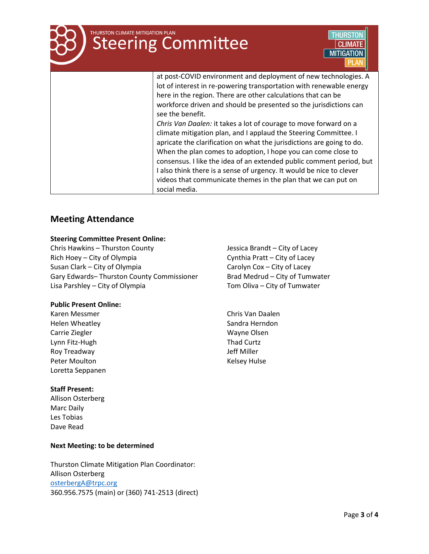# **THURSTON CLIMATE MITIGATION PLAN Steering Committee MITIGATION** at post-COVID environment and deployment of new technologies. A

lot of interest in re-powering transportation with renewable energy here in the region. There are other calculations that can be workforce driven and should be presented so the jurisdictions can see the benefit. *Chris Van Daalen:* it takes a lot of courage to move forward on a climate mitigation plan, and I applaud the Steering Committee. I

apricate the clarification on what the jurisdictions are going to do. When the plan comes to adoption, I hope you can come close to consensus. I like the idea of an extended public comment period, but I also think there is a sense of urgency. It would be nice to clever videos that communicate themes in the plan that we can put on social media.

# **Meeting Attendance**

## **Steering Committee Present Online:**

Chris Hawkins – Thurston County Rich Hoey – City of Olympia Susan Clark – City of Olympia Gary Edwards– Thurston County Commissioner Lisa Parshley – City of Olympia

## **Public Present Online:**

Karen Messmer Helen Wheatley Carrie Ziegler Lynn Fitz-Hugh Roy Treadway Peter Moulton **Kelsey Hulse** Loretta Seppanen

## **Staff Present:**

Allison Osterberg Marc Daily Les Tobias Dave Read

## **Next Meeting: to be determined**

Thurston Climate Mitigation Plan Coordinator: Allison Osterberg [osterbergA@trpc.org](mailto:osterbergA@trpc.org) 360.956.7575 (main) or (360) 741-2513 (direct) Jessica Brandt – City of Lacey Cynthia Pratt – City of Lacey Carolyn Cox – City of Lacey Brad Medrud – City of Tumwater Tom Oliva – City of Tumwater

Chris Van Daalen Sandra Herndon Wayne Olsen Thad Curtz Jeff Miller